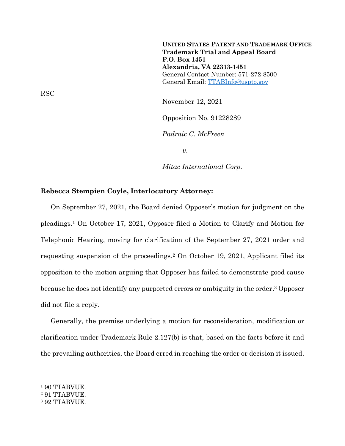**UNITED STATES PATENT AND TRADEMARK OFFICE Trademark Trial and Appeal Board P.O. Box 1451 Alexandria, VA 22313-1451** General Contact Number: 571-272-8500 General Email: [TTABInfo@uspto.gov](mailto:TTABInfo@uspto.gov)

November 12, 2021 Opposition No. 91228289 *Padraic C. McFreen*

*v.*

*Mitac International Corp.*

## **Rebecca Stempien Coyle, Interlocutory Attorney:**

On September 27, 2021, the Board denied Opposer's motion for judgment on the pleadings.<sup>1</sup> On October 17, 2021, Opposer filed a Motion to Clarify and Motion for Telephonic Hearing, moving for clarification of the September 27, 2021 order and requesting suspension of the proceedings.<sup>2</sup> On October 19, 2021, Applicant filed its opposition to the motion arguing that Opposer has failed to demonstrate good cause because he does not identify any purported errors or ambiguity in the order. <sup>3</sup> Opposer did not file a reply.

Generally, the premise underlying a motion for reconsideration, modification or clarification under Trademark Rule 2.127(b) is that, based on the facts before it and the prevailing authorities, the Board erred in reaching the order or decision it issued.

l

<sup>2</sup> 91 TTABVUE.

RSC

<sup>&</sup>lt;sup>1</sup> 90 TTABVUE.

<sup>3</sup> 92 TTABVUE.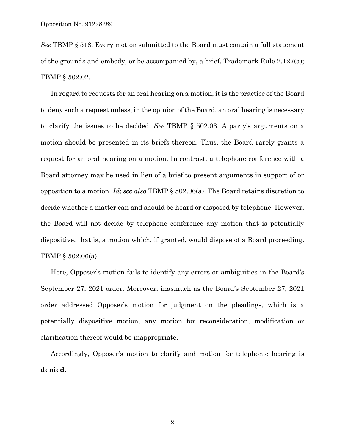*See* TBMP § 518. Every motion submitted to the Board must contain a full statement of the grounds and embody, or be accompanied by, a brief. Trademark Rule 2.127(a); TBMP § 502.02.

In regard to requests for an oral hearing on a motion, it is the practice of the Board to deny such a request unless, in the opinion of the Board, an oral hearing is necessary to clarify the issues to be decided. *See* TBMP § 502.03. A party's arguments on a motion should be presented in its briefs thereon. Thus, the Board rarely grants a request for an oral hearing on a motion. In contrast, a telephone conference with a Board attorney may be used in lieu of a brief to present arguments in support of or opposition to a motion. *Id*; *see also* TBMP § 502.06(a). The Board retains discretion to decide whether a matter can and should be heard or disposed by telephone. However, the Board will not decide by telephone conference any motion that is potentially dispositive, that is, a motion which, if granted, would dispose of a Board proceeding. TBMP § 502.06(a).

Here, Opposer's motion fails to identify any errors or ambiguities in the Board's September 27, 2021 order. Moreover, inasmuch as the Board's September 27, 2021 order addressed Opposer's motion for judgment on the pleadings, which is a potentially dispositive motion, any motion for reconsideration, modification or clarification thereof would be inappropriate.

Accordingly, Opposer's motion to clarify and motion for telephonic hearing is **denied**.

2